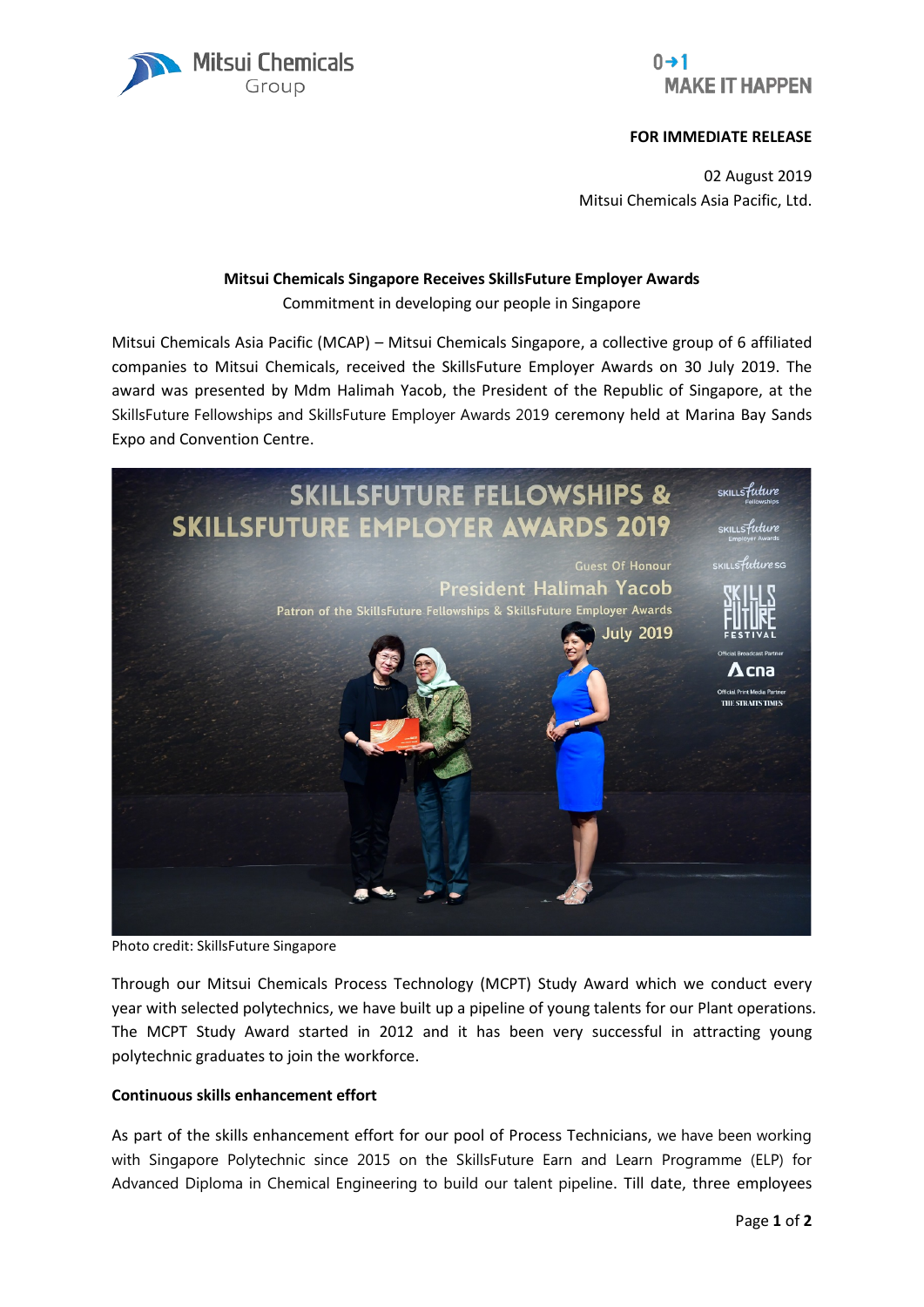



## **FOR IMMEDIATE RELEASE**

02 August 2019 Mitsui Chemicals Asia Pacific, Ltd.

# **Mitsui Chemicals Singapore Receives SkillsFuture Employer Awards** Commitment in developing our people in Singapore

Mitsui Chemicals Asia Pacific (MCAP) – Mitsui Chemicals Singapore, a collective group of 6 affiliated companies to Mitsui Chemicals, received the SkillsFuture Employer Awards on 30 July 2019. The award was presented by Mdm Halimah Yacob, the President of the Republic of Singapore, at the SkillsFuture Fellowships and SkillsFuture Employer Awards 2019 ceremony held at Marina Bay Sands Expo and Convention Centre.



Photo credit: SkillsFuture Singapore

Through our Mitsui Chemicals Process Technology (MCPT) Study Award which we conduct every year with selected polytechnics, we have built up a pipeline of young talents for our Plant operations. The MCPT Study Award started in 2012 and it has been very successful in attracting young polytechnic graduates to join the workforce.

## **Continuous skills enhancement effort**

As part of the skills enhancement effort for our pool of Process Technicians, we have been working with Singapore Polytechnic since 2015 on the SkillsFuture Earn and Learn Programme (ELP) for Advanced Diploma in Chemical Engineering to build our talent pipeline. Till date, three employees